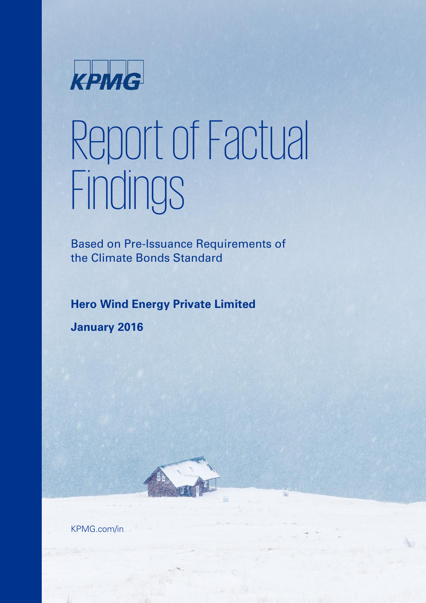

# Report of Factual Findings

Based on Pre-Issuance Requirements of the Climate Bonds Standard

#### **Hero Wind Energy Private Limited**

**January 2016**

KPMG.com/in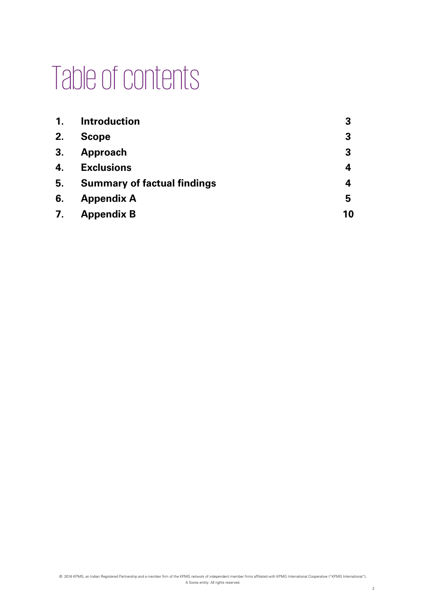## Table of contents

| $\mathbf{1}$ . | <b>Introduction</b>                | 3  |
|----------------|------------------------------------|----|
| 2.             | <b>Scope</b>                       | 3  |
| 3.             | Approach                           | 3  |
| 4.             | <b>Exclusions</b>                  | 4  |
| 5.             | <b>Summary of factual findings</b> | 4  |
| 6.             | <b>Appendix A</b>                  | 5  |
| 7.             | <b>Appendix B</b>                  | 10 |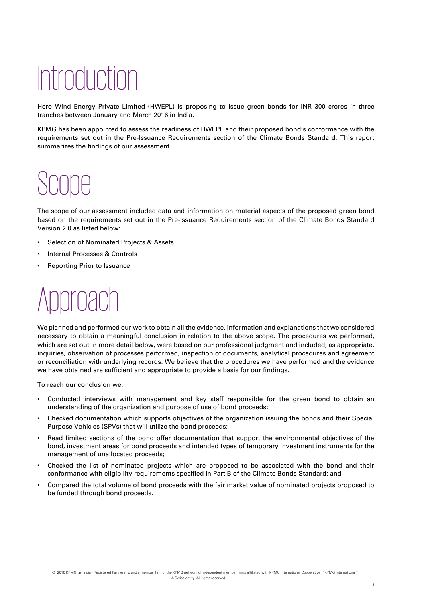# Introduction

Hero Wind Energy Private Limited (HWEPL) is proposing to issue green bonds for INR 300 crores in three tranches between January and March 2016 in India.

KPMG has been appointed to assess the readiness of HWEPL and their proposed bond's conformance with the requirements set out in the Pre-Issuance Requirements section of the Climate Bonds Standard. This report summarizes the findings of our assessment.

# Scope

The scope of our assessment included data and information on material aspects of the proposed green bond based on the requirements set out in the Pre-Issuance Requirements section of the Climate Bonds Standard Version 2.0 as listed below:

- Selection of Nominated Projects & Assets
- Internal Processes & Controls
- Reporting Prior to Issuance

### proach

We planned and performed our work to obtain all the evidence, information and explanations that we considered necessary to obtain a meaningful conclusion in relation to the above scope. The procedures we performed, which are set out in more detail below, were based on our professional judgment and included, as appropriate, inquiries, observation of processes performed, inspection of documents, analytical procedures and agreement or reconciliation with underlying records. We believe that the procedures we have performed and the evidence we have obtained are sufficient and appropriate to provide a basis for our findings.

To reach our conclusion we:

- Conducted interviews with management and key staff responsible for the green bond to obtain an understanding of the organization and purpose of use of bond proceeds;
- Checked documentation which supports objectives of the organization issuing the bonds and their Special Purpose Vehicles (SPVs) that will utilize the bond proceeds;
- Read limited sections of the bond offer documentation that support the environmental objectives of the bond, investment areas for bond proceeds and intended types of temporary investment instruments for the management of unallocated proceeds;
- Checked the list of nominated projects which are proposed to be associated with the bond and their conformance with eligibility requirements specified in Part B of the Climate Bonds Standard; and
- Compared the total volume of bond proceeds with the fair market value of nominated projects proposed to be funded through bond proceeds.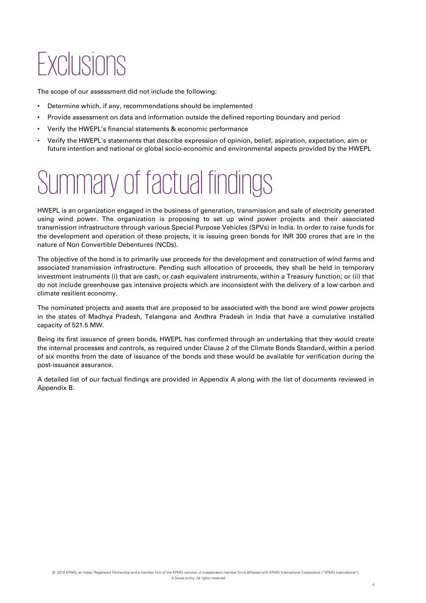### Exclusions

The scope of our assessment did not include the following:

- Determine which, if any, recommendations should be implemented
- Provide assessment on data and information outside the defined reporting boundary and period
- Verify the HWEPL's financial statements & economic performance
- Verify the HWEPL's statements that describe expression of opinion, belief, aspiration, expectation, aim or future intention and national or global socio-economic and environmental aspects provided by the HWEPL

### Summary of factual findings

HWEPL is an organization engaged in the business of generation, transmission and sale of electricity generated using wind power. The organization is proposing to set up wind power projects and their associated transmission infrastructure through various Special Purpose Vehicles (SPVs) in India. In order to raise funds for the development and operation of these projects, it is issuing green bonds for INR 300 crores that are in the nature of Non Convertible Debentures (NCDs).

The objective of the bond is to primarily use proceeds for the development and construction of wind farms and associated transmission infrastructure. Pending such allocation of proceeds, they shall be held in temporary investment instruments (i) that are cash, or cash equivalent instruments, within a Treasury function; or (ii) that do not include greenhouse gas intensive projects which are inconsistent with the delivery of a low carbon and climate resilient economy.

The nominated projects and assets that are proposed to be associated with the bond are wind power projects in the states of Madhya Pradesh, Telangana and Andhra Pradesh in India that have a cumulative installed capacity of 521.5 MW.

Being its first issuance of green bonds, HWEPL has confirmed through an undertaking that they would create the internal processes and controls, as required under Clause 2 of the Climate Bonds Standard, within a period of six months from the date of issuance of the bonds and these would be available for verification during the post-issuance assurance.

A detailed list of our factual findings are provided in Appendix A along with the list of documents reviewed in Appendix B.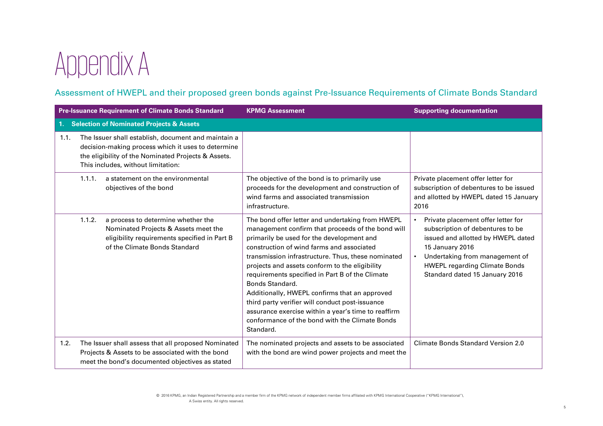# Appendix A

#### Assessment of HWEPL and their proposed green bonds against Pre-Issuance Requirements of Climate Bonds Standard

|      | <b>Pre-Issuance Requirement of Climate Bonds Standard</b>                                                                                                                                              | <b>KPMG Assessment</b>                                                                                                                                                                                                                                                                                                                                                                                                                                                                                                                                                                                  | <b>Supporting documentation</b>                                                                                                                                                                                                             |
|------|--------------------------------------------------------------------------------------------------------------------------------------------------------------------------------------------------------|---------------------------------------------------------------------------------------------------------------------------------------------------------------------------------------------------------------------------------------------------------------------------------------------------------------------------------------------------------------------------------------------------------------------------------------------------------------------------------------------------------------------------------------------------------------------------------------------------------|---------------------------------------------------------------------------------------------------------------------------------------------------------------------------------------------------------------------------------------------|
| 1.   | <b>Selection of Nominated Projects &amp; Assets</b>                                                                                                                                                    |                                                                                                                                                                                                                                                                                                                                                                                                                                                                                                                                                                                                         |                                                                                                                                                                                                                                             |
| 1.1. | The Issuer shall establish, document and maintain a<br>decision-making process which it uses to determine<br>the eligibility of the Nominated Projects & Assets.<br>This includes, without limitation: |                                                                                                                                                                                                                                                                                                                                                                                                                                                                                                                                                                                                         |                                                                                                                                                                                                                                             |
|      | a statement on the environmental<br>1.1.1.<br>objectives of the bond                                                                                                                                   | The objective of the bond is to primarily use<br>proceeds for the development and construction of<br>wind farms and associated transmission<br>infrastructure.                                                                                                                                                                                                                                                                                                                                                                                                                                          | Private placement offer letter for<br>subscription of debentures to be issued<br>and allotted by HWEPL dated 15 January<br>2016                                                                                                             |
|      | 1.1.2.<br>a process to determine whether the<br>Nominated Projects & Assets meet the<br>eligibility requirements specified in Part B<br>of the Climate Bonds Standard                                  | The bond offer letter and undertaking from HWEPL<br>management confirm that proceeds of the bond will<br>primarily be used for the development and<br>construction of wind farms and associated<br>transmission infrastructure. Thus, these nominated<br>projects and assets conform to the eligibility<br>requirements specified in Part B of the Climate<br>Bonds Standard.<br>Additionally, HWEPL confirms that an approved<br>third party verifier will conduct post-issuance<br>assurance exercise within a year's time to reaffirm<br>conformance of the bond with the Climate Bonds<br>Standard. | Private placement offer letter for<br>subscription of debentures to be<br>issued and allotted by HWEPL dated<br>15 January 2016<br>Undertaking from management of<br><b>HWEPL regarding Climate Bonds</b><br>Standard dated 15 January 2016 |
| 1.2. | The Issuer shall assess that all proposed Nominated<br>Projects & Assets to be associated with the bond<br>meet the bond's documented objectives as stated                                             | The nominated projects and assets to be associated<br>with the bond are wind power projects and meet the                                                                                                                                                                                                                                                                                                                                                                                                                                                                                                | <b>Climate Bonds Standard Version 2.0</b>                                                                                                                                                                                                   |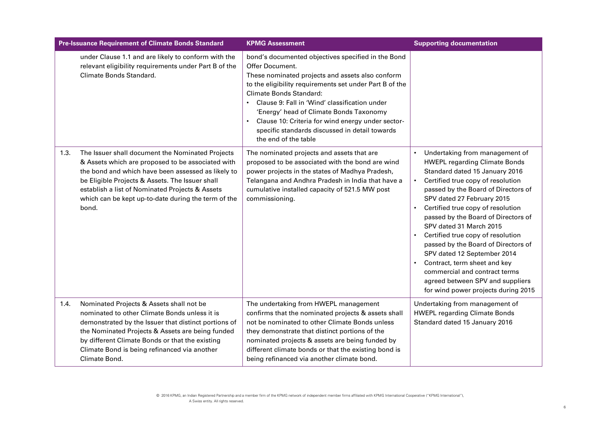|      | <b>Pre-Issuance Requirement of Climate Bonds Standard</b>                                                                                                                                                                                                                                                                         | <b>KPMG Assessment</b>                                                                                                                                                                                                                                                                                                                                                                                                                     | <b>Supporting documentation</b>                                                                                                                                                                                                                                                                                                                                                                                                                                                                                                                                                                            |  |
|------|-----------------------------------------------------------------------------------------------------------------------------------------------------------------------------------------------------------------------------------------------------------------------------------------------------------------------------------|--------------------------------------------------------------------------------------------------------------------------------------------------------------------------------------------------------------------------------------------------------------------------------------------------------------------------------------------------------------------------------------------------------------------------------------------|------------------------------------------------------------------------------------------------------------------------------------------------------------------------------------------------------------------------------------------------------------------------------------------------------------------------------------------------------------------------------------------------------------------------------------------------------------------------------------------------------------------------------------------------------------------------------------------------------------|--|
|      | under Clause 1.1 and are likely to conform with the<br>relevant eligibility requirements under Part B of the<br>Climate Bonds Standard.                                                                                                                                                                                           | bond's documented objectives specified in the Bond<br>Offer Document.<br>These nominated projects and assets also conform<br>to the eligibility requirements set under Part B of the<br>Climate Bonds Standard:<br>Clause 9: Fall in 'Wind' classification under<br>'Energy' head of Climate Bonds Taxonomy<br>Clause 10: Criteria for wind energy under sector-<br>specific standards discussed in detail towards<br>the end of the table |                                                                                                                                                                                                                                                                                                                                                                                                                                                                                                                                                                                                            |  |
| 1.3. | The Issuer shall document the Nominated Projects<br>& Assets which are proposed to be associated with<br>the bond and which have been assessed as likely to<br>be Eligible Projects & Assets. The Issuer shall<br>establish a list of Nominated Projects & Assets<br>which can be kept up-to-date during the term of the<br>bond. | The nominated projects and assets that are<br>proposed to be associated with the bond are wind<br>power projects in the states of Madhya Pradesh,<br>Telangana and Andhra Pradesh in India that have a<br>cumulative installed capacity of 521.5 MW post<br>commissioning.                                                                                                                                                                 | Undertaking from management of<br><b>HWEPL regarding Climate Bonds</b><br>Standard dated 15 January 2016<br>Certified true copy of resolution<br>$\bullet$<br>passed by the Board of Directors of<br>SPV dated 27 February 2015<br>Certified true copy of resolution<br>passed by the Board of Directors of<br>SPV dated 31 March 2015<br>Certified true copy of resolution<br>passed by the Board of Directors of<br>SPV dated 12 September 2014<br>Contract, term sheet and key<br>$\bullet$<br>commercial and contract terms<br>agreed between SPV and suppliers<br>for wind power projects during 2015 |  |
| 1.4. | Nominated Projects & Assets shall not be<br>nominated to other Climate Bonds unless it is<br>demonstrated by the Issuer that distinct portions of<br>the Nominated Projects & Assets are being funded<br>by different Climate Bonds or that the existing<br>Climate Bond is being refinanced via another<br>Climate Bond.         | The undertaking from HWEPL management<br>confirms that the nominated projects & assets shall<br>not be nominated to other Climate Bonds unless<br>they demonstrate that distinct portions of the<br>nominated projects & assets are being funded by<br>different climate bonds or that the existing bond is<br>being refinanced via another climate bond.                                                                                  | Undertaking from management of<br><b>HWEPL regarding Climate Bonds</b><br>Standard dated 15 January 2016                                                                                                                                                                                                                                                                                                                                                                                                                                                                                                   |  |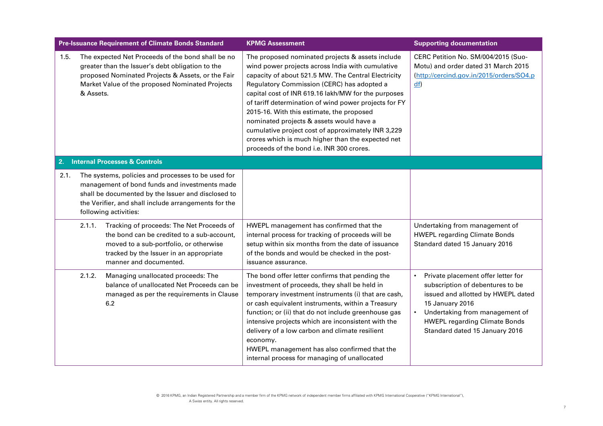| <b>Pre-Issuance Requirement of Climate Bonds Standard</b> |                                          |                                                                                                                                                                                                                                                                                                                                                                                                                                                      | <b>KPMG Assessment</b>                                                                                                                                                                                                                                                                                                                                                                                                                                                                                                                                                     | <b>Supporting documentation</b>                                                                                                                                                                                                                          |
|-----------------------------------------------------------|------------------------------------------|------------------------------------------------------------------------------------------------------------------------------------------------------------------------------------------------------------------------------------------------------------------------------------------------------------------------------------------------------------------------------------------------------------------------------------------------------|----------------------------------------------------------------------------------------------------------------------------------------------------------------------------------------------------------------------------------------------------------------------------------------------------------------------------------------------------------------------------------------------------------------------------------------------------------------------------------------------------------------------------------------------------------------------------|----------------------------------------------------------------------------------------------------------------------------------------------------------------------------------------------------------------------------------------------------------|
| 1.5.                                                      | & Assets.                                | The expected Net Proceeds of the bond shall be no<br>greater than the Issuer's debt obligation to the<br>proposed Nominated Projects & Assets, or the Fair<br>Market Value of the proposed Nominated Projects                                                                                                                                                                                                                                        | The proposed nominated projects & assets include<br>wind power projects across India with cumulative<br>capacity of about 521.5 MW. The Central Electricity<br>Regulatory Commission (CERC) has adopted a<br>capital cost of INR 619.16 lakh/MW for the purposes<br>of tariff determination of wind power projects for FY<br>2015-16. With this estimate, the proposed<br>nominated projects & assets would have a<br>cumulative project cost of approximately INR 3,229<br>crores which is much higher than the expected net<br>proceeds of the bond i.e. INR 300 crores. | CERC Petition No. SM/004/2015 (Suo-<br>Motu) and order dated 31 March 2015<br>(http://cercind.gov.in/2015/orders/SO4.p<br>df                                                                                                                             |
| 2.                                                        | <b>Internal Processes &amp; Controls</b> |                                                                                                                                                                                                                                                                                                                                                                                                                                                      |                                                                                                                                                                                                                                                                                                                                                                                                                                                                                                                                                                            |                                                                                                                                                                                                                                                          |
| 2.1.                                                      | 2.1.1.                                   | The systems, policies and processes to be used for<br>management of bond funds and investments made<br>shall be documented by the Issuer and disclosed to<br>the Verifier, and shall include arrangements for the<br>following activities:<br>Tracking of proceeds: The Net Proceeds of<br>the bond can be credited to a sub-account,<br>moved to a sub-portfolio, or otherwise<br>tracked by the Issuer in an appropriate<br>manner and documented. | HWEPL management has confirmed that the<br>internal process for tracking of proceeds will be<br>setup within six months from the date of issuance<br>of the bonds and would be checked in the post-<br>issuance assurance.                                                                                                                                                                                                                                                                                                                                                 | Undertaking from management of<br><b>HWEPL regarding Climate Bonds</b><br>Standard dated 15 January 2016                                                                                                                                                 |
|                                                           | 2.1.2.                                   | Managing unallocated proceeds: The<br>balance of unallocated Net Proceeds can be<br>managed as per the requirements in Clause<br>6.2                                                                                                                                                                                                                                                                                                                 | The bond offer letter confirms that pending the<br>investment of proceeds, they shall be held in<br>temporary investment instruments (i) that are cash,<br>or cash equivalent instruments, within a Treasury<br>function; or (ii) that do not include greenhouse gas<br>intensive projects which are inconsistent with the<br>delivery of a low carbon and climate resilient<br>economy.<br>HWEPL management has also confirmed that the<br>internal process for managing of unallocated                                                                                   | Private placement offer letter for<br>$\bullet$<br>subscription of debentures to be<br>issued and allotted by HWEPL dated<br>15 January 2016<br>Undertaking from management of<br><b>HWEPL regarding Climate Bonds</b><br>Standard dated 15 January 2016 |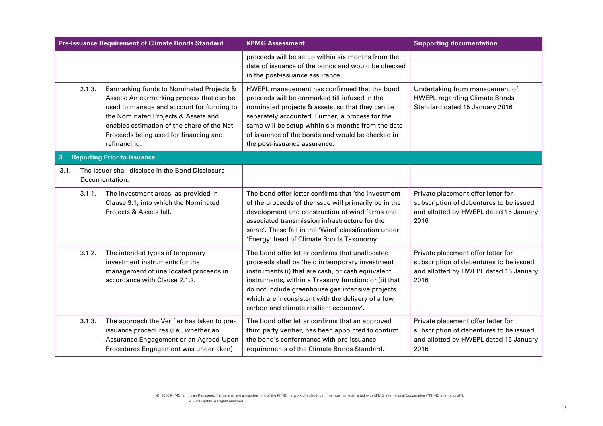|                                          |        | <b>Pre-Issuance Requirement of Climate Bonds Standard</b>                                                                                                                                                                                                                        | <b>KPMG Assessment</b>                                                                                                                                                                                                                                                                                                                                              | <b>Supporting documentation</b>                                                                                                 |
|------------------------------------------|--------|----------------------------------------------------------------------------------------------------------------------------------------------------------------------------------------------------------------------------------------------------------------------------------|---------------------------------------------------------------------------------------------------------------------------------------------------------------------------------------------------------------------------------------------------------------------------------------------------------------------------------------------------------------------|---------------------------------------------------------------------------------------------------------------------------------|
|                                          |        |                                                                                                                                                                                                                                                                                  | proceeds will be setup within six months from the<br>date of issuance of the bonds and would be checked<br>in the post-issuance assurance.                                                                                                                                                                                                                          |                                                                                                                                 |
|                                          | 2.1.3. | Earmarking funds to Nominated Projects &<br>Assets: An earmarking process that can be<br>used to manage and account for funding to<br>the Nominated Projects & Assets and<br>enables estimation of the share of the Net<br>Proceeds being used for financing and<br>refinancing. | HWEPL management has confirmed that the bond<br>proceeds will be earmarked till infused in the<br>nominated projects & assets, so that they can be<br>separately accounted. Further, a process for the<br>same will be setup within six months from the date<br>of issuance of the bonds and would be checked in<br>the post-issuance assurance.                    | Undertaking from management of<br><b>HWEPL regarding Climate Bonds</b><br>Standard dated 15 January 2016                        |
| 3.<br><b>Reporting Prior to Issuance</b> |        |                                                                                                                                                                                                                                                                                  |                                                                                                                                                                                                                                                                                                                                                                     |                                                                                                                                 |
| 3.1.                                     |        | The Issuer shall disclose in the Bond Disclosure<br>Documentation:                                                                                                                                                                                                               |                                                                                                                                                                                                                                                                                                                                                                     |                                                                                                                                 |
|                                          | 3.1.1. | The investment areas, as provided in<br>Clause 9.1, into which the Nominated<br>Projects & Assets fall.                                                                                                                                                                          | The bond offer letter confirms that 'the investment<br>of the proceeds of the Issue will primarily be in the<br>development and construction of wind farms and<br>associated transmission infrastructure for the<br>same'. These fall in the 'Wind' classification under<br>'Energy' head of Climate Bonds Taxonomy.                                                | Private placement offer letter for<br>subscription of debentures to be issued<br>and allotted by HWEPL dated 15 January<br>2016 |
|                                          | 3.1.2. | The intended types of temporary<br>investment instruments for the<br>management of unallocated proceeds in<br>accordance with Clause 2.1.2.                                                                                                                                      | The bond offer letter confirms that unallocated<br>proceeds shall be 'held in temporary investment<br>instruments (i) that are cash, or cash equivalent<br>instruments, within a Treasury function; or (ii) that<br>do not include greenhouse gas intensive projects<br>which are inconsistent with the delivery of a low<br>carbon and climate resilient economy'. | Private placement offer letter for<br>subscription of debentures to be issued<br>and allotted by HWEPL dated 15 January<br>2016 |
|                                          | 3.1.3. | The approach the Verifier has taken to pre-<br>issuance procedures (i.e., whether an<br>Assurance Engagement or an Agreed-Upon<br>Procedures Engagement was undertaken)                                                                                                          | The bond offer letter confirms that an approved<br>third party verifier, has been appointed to confirm<br>the bond's conformance with pre-issuance<br>requirements of the Climate Bonds Standard.                                                                                                                                                                   | Private placement offer letter for<br>subscription of debentures to be issued<br>and allotted by HWEPL dated 15 January<br>2016 |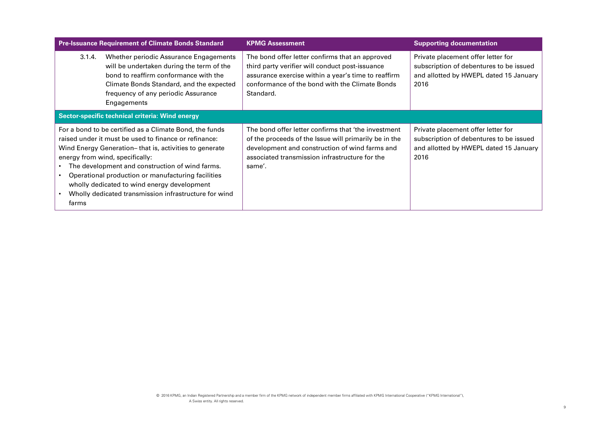| <b>Pre-Issuance Requirement of Climate Bonds Standard</b>                                                                                                                                                                                                                                                                                                                                                                                |                                                                                                                                                                                                                                | <b>KPMG Assessment</b>                                                                                                                                                                                                     | <b>Supporting documentation</b>                                                                                                 |  |  |
|------------------------------------------------------------------------------------------------------------------------------------------------------------------------------------------------------------------------------------------------------------------------------------------------------------------------------------------------------------------------------------------------------------------------------------------|--------------------------------------------------------------------------------------------------------------------------------------------------------------------------------------------------------------------------------|----------------------------------------------------------------------------------------------------------------------------------------------------------------------------------------------------------------------------|---------------------------------------------------------------------------------------------------------------------------------|--|--|
| 3.1.4.                                                                                                                                                                                                                                                                                                                                                                                                                                   | Whether periodic Assurance Engagements<br>will be undertaken during the term of the<br>bond to reaffirm conformance with the<br>Climate Bonds Standard, and the expected<br>frequency of any periodic Assurance<br>Engagements | The bond offer letter confirms that an approved<br>third party verifier will conduct post-issuance<br>assurance exercise within a year's time to reaffirm<br>conformance of the bond with the Climate Bonds<br>Standard.   | Private placement offer letter for<br>subscription of debentures to be issued<br>and allotted by HWEPL dated 15 January<br>2016 |  |  |
|                                                                                                                                                                                                                                                                                                                                                                                                                                          | Sector-specific technical criteria: Wind energy                                                                                                                                                                                |                                                                                                                                                                                                                            |                                                                                                                                 |  |  |
| For a bond to be certified as a Climate Bond, the funds<br>raised under it must be used to finance or refinance:<br>Wind Energy Generation– that is, activities to generate<br>energy from wind, specifically:<br>The development and construction of wind farms.<br>Operational production or manufacturing facilities<br>wholly dedicated to wind energy development<br>Wholly dedicated transmission infrastructure for wind<br>farms |                                                                                                                                                                                                                                | The bond offer letter confirms that 'the investment<br>of the proceeds of the Issue will primarily be in the<br>development and construction of wind farms and<br>associated transmission infrastructure for the<br>same'. | Private placement offer letter for<br>subscription of debentures to be issued<br>and allotted by HWEPL dated 15 January<br>2016 |  |  |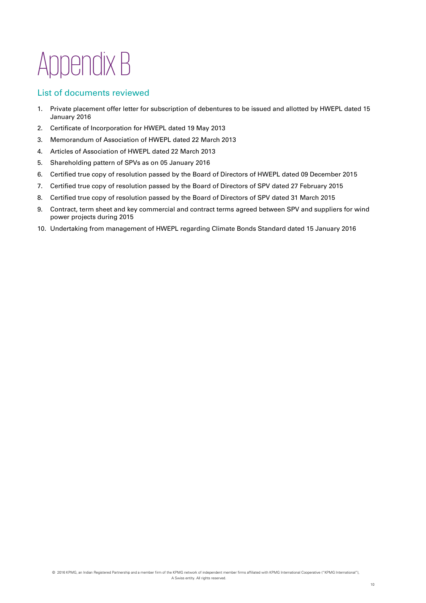# Appendix B

#### List of documents reviewed

- 1. Private placement offer letter for subscription of debentures to be issued and allotted by HWEPL dated 15 January 2016
- 2. Certificate of Incorporation for HWEPL dated 19 May 2013
- 3. Memorandum of Association of HWEPL dated 22 March 2013
- 4. Articles of Association of HWEPL dated 22 March 2013
- 5. Shareholding pattern of SPVs as on 05 January 2016
- 6. Certified true copy of resolution passed by the Board of Directors of HWEPL dated 09 December 2015
- 7. Certified true copy of resolution passed by the Board of Directors of SPV dated 27 February 2015
- 8. Certified true copy of resolution passed by the Board of Directors of SPV dated 31 March 2015
- 9. Contract, term sheet and key commercial and contract terms agreed between SPV and suppliers for wind power projects during 2015
- 10. Undertaking from management of HWEPL regarding Climate Bonds Standard dated 15 January 2016